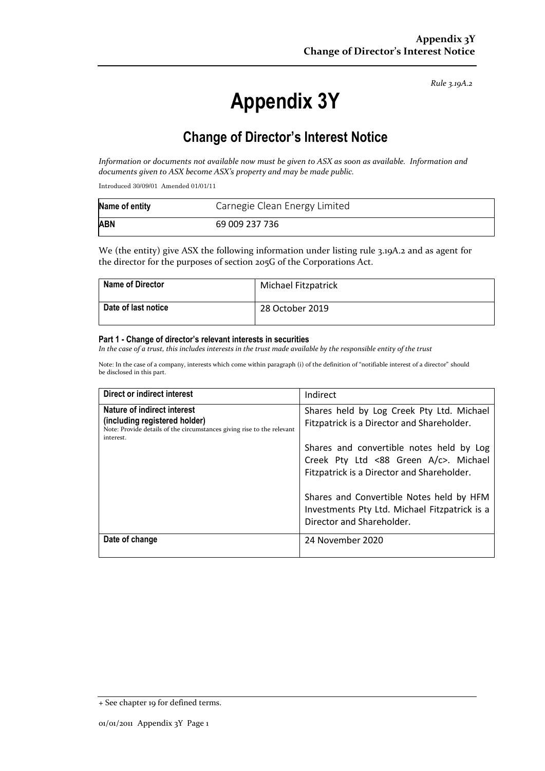*Rule 3.19A.2*

# **Appendix 3Y**

# **Change of Director's Interest Notice**

*Information or documents not available now must be given to ASX as soon as available. Information and documents given to ASX become ASX's property and may be made public.*

Introduced 30/09/01 Amended 01/01/11

| Name of entity | Carnegie Clean Energy Limited |
|----------------|-------------------------------|
| <b>ABN</b>     | 69 009 237 736                |

We (the entity) give ASX the following information under listing rule 3.19A.2 and as agent for the director for the purposes of section 205G of the Corporations Act.

| <b>Name of Director</b> | Michael Fitzpatrick |
|-------------------------|---------------------|
| Date of last notice     | 28 October 2019     |

#### **Part 1 - Change of director's relevant interests in securities**

*In the case of a trust, this includes interests in the trust made available by the responsible entity of the trust*

Note: In the case of a company, interests which come within paragraph (i) of the definition of "notifiable interest of a director" should be disclosed in this part.

| <b>Direct or indirect interest</b>                                                                                                                  | Indirect                                                                                                                                                                                                                   |
|-----------------------------------------------------------------------------------------------------------------------------------------------------|----------------------------------------------------------------------------------------------------------------------------------------------------------------------------------------------------------------------------|
| Nature of indirect interest<br>(including registered holder)<br>Note: Provide details of the circumstances giving rise to the relevant<br>interest. | Shares held by Log Creek Pty Ltd. Michael<br>Fitzpatrick is a Director and Shareholder.<br>Shares and convertible notes held by Log<br>Creek Pty Ltd <88 Green A/c>. Michael<br>Fitzpatrick is a Director and Shareholder. |
|                                                                                                                                                     | Shares and Convertible Notes held by HFM<br>Investments Pty Ltd. Michael Fitzpatrick is a<br>Director and Shareholder.                                                                                                     |
| Date of change                                                                                                                                      | 24 November 2020                                                                                                                                                                                                           |

<sup>+</sup> See chapter 19 for defined terms.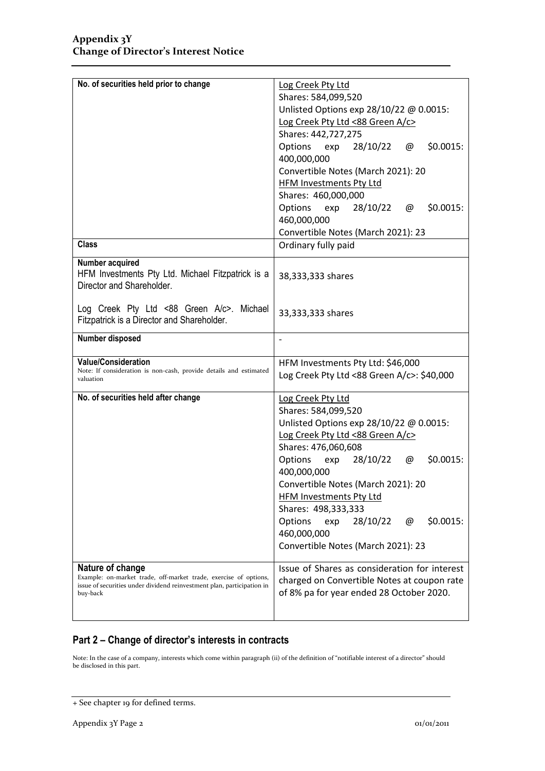| No. of securities held prior to change                                                  | Log Creek Pty Ltd                                             |  |
|-----------------------------------------------------------------------------------------|---------------------------------------------------------------|--|
|                                                                                         | Shares: 584,099,520                                           |  |
|                                                                                         | Unlisted Options exp 28/10/22 @ 0.0015:                       |  |
|                                                                                         | Log Creek Pty Ltd <88 Green A/c>                              |  |
|                                                                                         | Shares: 442,727,275                                           |  |
|                                                                                         | Options<br>exp<br>28/10/22<br>\$0.0015:<br>@<br>400,000,000   |  |
|                                                                                         |                                                               |  |
|                                                                                         | Convertible Notes (March 2021): 20<br>HFM Investments Pty Ltd |  |
|                                                                                         | Shares: 460,000,000                                           |  |
|                                                                                         | Options<br>exp 28/10/22<br>\$0.0015:<br>@                     |  |
|                                                                                         | 460,000,000                                                   |  |
|                                                                                         | Convertible Notes (March 2021): 23                            |  |
| <b>Class</b>                                                                            | Ordinary fully paid                                           |  |
| Number acquired                                                                         |                                                               |  |
| HFM Investments Pty Ltd. Michael Fitzpatrick is a<br>Director and Shareholder.          | 38,333,333 shares                                             |  |
| Log Creek Pty Ltd <88 Green A/c>. Michael<br>Fitzpatrick is a Director and Shareholder. | 33,333,333 shares                                             |  |
| Number disposed                                                                         |                                                               |  |
| <b>Value/Consideration</b>                                                              | HFM Investments Pty Ltd: \$46,000                             |  |
| Note: If consideration is non-cash, provide details and estimated<br>valuation          | Log Creek Pty Ltd <88 Green A/c>: \$40,000                    |  |
| No. of securities held after change                                                     | Log Creek Pty Ltd                                             |  |
|                                                                                         | Shares: 584,099,520                                           |  |
|                                                                                         | Unlisted Options exp 28/10/22 @ 0.0015:                       |  |
|                                                                                         | Log Creek Pty Ltd <88 Green A/c>                              |  |
|                                                                                         | Shares: 476,060,608                                           |  |
|                                                                                         | \$0.0015:<br>Options<br>exp<br>28/10/22<br>@                  |  |
|                                                                                         | 400,000,000                                                   |  |
|                                                                                         | Convertible Notes (March 2021): 20                            |  |
|                                                                                         | <b>HFM Investments Pty Ltd</b>                                |  |
|                                                                                         | Shares: 498,333,333                                           |  |
|                                                                                         |                                                               |  |
|                                                                                         |                                                               |  |
|                                                                                         | 28/10/22<br>\$0.0015:<br>Options<br>exp<br>@                  |  |
|                                                                                         | 460,000,000                                                   |  |
|                                                                                         | Convertible Notes (March 2021): 23                            |  |
|                                                                                         | Issue of Shares as consideration for interest                 |  |
| Nature of change<br>Example: on-market trade, off-market trade, exercise of options,    |                                                               |  |
| issue of securities under dividend reinvestment plan, participation in                  | charged on Convertible Notes at coupon rate                   |  |
| buy-back                                                                                | of 8% pa for year ended 28 October 2020.                      |  |

### **Part 2 – Change of director's interests in contracts**

Note: In the case of a company, interests which come within paragraph (ii) of the definition of "notifiable interest of a director" should be disclosed in this part.

<sup>+</sup> See chapter 19 for defined terms.